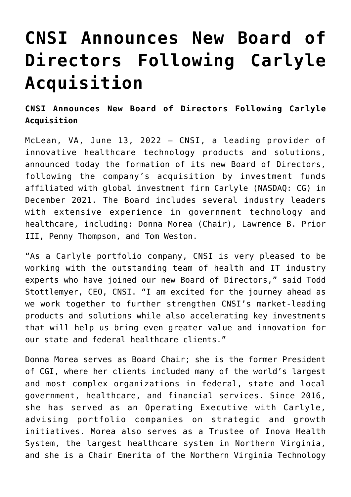## **[CNSI Announces New Board of](https://www.cns-inc.com/insights/press-releases/cnsi-announces-new-board-of-directors-following-carlyle-acquisition/) [Directors Following Carlyle](https://www.cns-inc.com/insights/press-releases/cnsi-announces-new-board-of-directors-following-carlyle-acquisition/) [Acquisition](https://www.cns-inc.com/insights/press-releases/cnsi-announces-new-board-of-directors-following-carlyle-acquisition/)**

**CNSI Announces New Board of Directors Following Carlyle Acquisition**

McLean, VA, June 13, 2022 – CNSI, a leading provider of innovative healthcare technology products and solutions, announced today the formation of its new Board of Directors, following the company's acquisition by investment funds affiliated with global investment firm Carlyle (NASDAQ: CG) in December 2021. The Board includes several industry leaders with extensive experience in government technology and healthcare, including: Donna Morea (Chair), Lawrence B. Prior III, Penny Thompson, and Tom Weston.

"As a Carlyle portfolio company, CNSI is very pleased to be working with the outstanding team of health and IT industry experts who have joined our new Board of Directors," said Todd Stottlemyer, CEO, CNSI. "I am excited for the journey ahead as we work together to further strengthen CNSI's market-leading products and solutions while also accelerating key investments that will help us bring even greater value and innovation for our state and federal healthcare clients."

Donna Morea serves as Board Chair; she is the former President of CGI, where her clients included many of the world's largest and most complex organizations in federal, state and local government, healthcare, and financial services. Since 2016, she has served as an Operating Executive with Carlyle, advising portfolio companies on strategic and growth initiatives. Morea also serves as a Trustee of Inova Health System, the largest healthcare system in Northern Virginia, and she is a Chair Emerita of the Northern Virginia Technology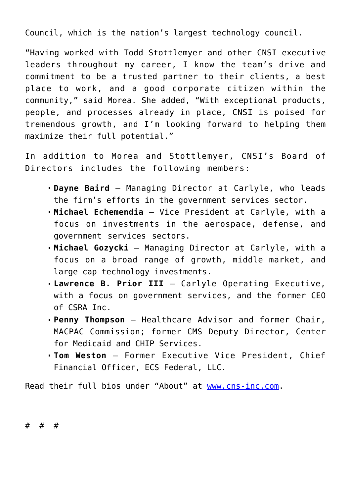Council, which is the nation's largest technology council.

"Having worked with Todd Stottlemyer and other CNSI executive leaders throughout my career, I know the team's drive and commitment to be a trusted partner to their clients, a best place to work, and a good corporate citizen within the community," said Morea. She added, "With exceptional products, people, and processes already in place, CNSI is poised for tremendous growth, and I'm looking forward to helping them maximize their full potential."

In addition to Morea and Stottlemyer, CNSI's Board of Directors includes the following members:

- **Dayne Baird** Managing Director at Carlyle, who leads the firm's efforts in the government services sector.
- **Michael Echemendia** Vice President at Carlyle, with a focus on investments in the aerospace, defense, and government services sectors.
- **Michael Gozycki** Managing Director at Carlyle, with a focus on a broad range of growth, middle market, and large cap technology investments.
- **Lawrence B. Prior III** Carlyle Operating Executive, with a focus on government services, and the former CEO of CSRA Inc.
- **Penny Thompson** Healthcare Advisor and former Chair, MACPAC Commission; former CMS Deputy Director, Center for Medicaid and CHIP Services.
- **Tom Weston** Former Executive Vice President, Chief Financial Officer, ECS Federal, LLC.

Read their full bios under "About" at [www.cns-inc.com](http://www.cns-inc.com).

# # #